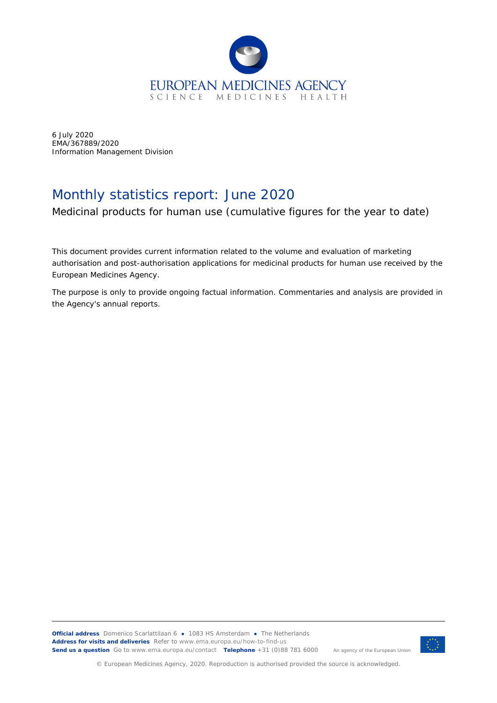

6 July 2020 EMA/367889/2020 Information Management Division

## Monthly statistics report: June 2020

Medicinal products for human use (cumulative figures for the year to date)

This document provides current information related to the volume and evaluation of marketing authorisation and post-authorisation applications for medicinal products for human use received by the European Medicines Agency.

The purpose is only to provide ongoing factual information. Commentaries and analysis are provided in the Agency's annual reports.



© European Medicines Agency, 2020. Reproduction is authorised provided the source is acknowledged.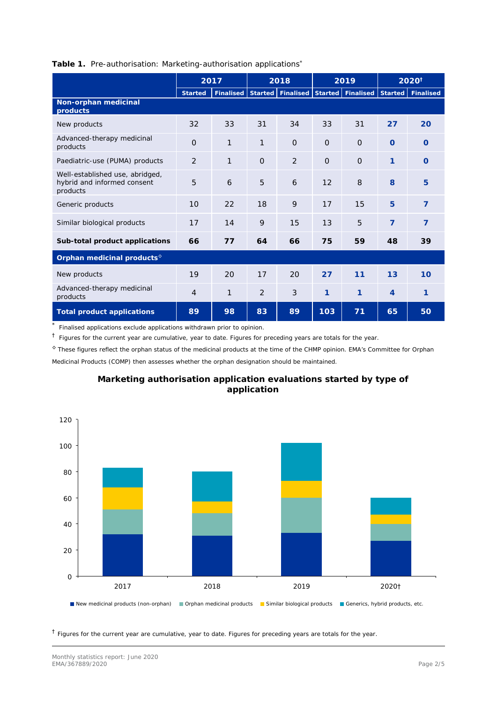|                                                                            | 2017           |           | 2018           |                | 2019     |                                                     | 2020 <sup>†</sup> |                |
|----------------------------------------------------------------------------|----------------|-----------|----------------|----------------|----------|-----------------------------------------------------|-------------------|----------------|
|                                                                            | <b>Started</b> | Finalised |                |                |          | Started   Finalised   Started   Finalised   Started |                   | Finalised      |
| Non-orphan medicinal<br>products                                           |                |           |                |                |          |                                                     |                   |                |
| New products                                                               | 32             | 33        | 31             | 34             | 33       | 31                                                  | 27                | 20             |
| Advanced-therapy medicinal<br>products                                     | $\Omega$       | 1         | 1              | $\Omega$       | $\Omega$ | $\Omega$                                            | $\Omega$          | $\Omega$       |
| Paediatric-use (PUMA) products                                             | $\overline{2}$ | 1         | $\Omega$       | $\overline{2}$ | $\Omega$ | $\overline{O}$                                      | 1                 | $\Omega$       |
| Well-established use, abridged,<br>hybrid and informed consent<br>products | 5              | 6         | 5              | 6              | 12       | 8                                                   | 8                 | 5              |
| Generic products                                                           | 10             | 22        | 18             | 9              | 17       | 15                                                  | 5                 | $\overline{7}$ |
| Similar biological products                                                | 17             | 14        | 9              | 15             | 13       | 5                                                   | $\overline{7}$    | 7              |
| Sub-total product applications                                             | 66             | 77        | 64             | 66             | 75       | 59                                                  | 48                | 39             |
| Orphan medicinal products <sup>6</sup>                                     |                |           |                |                |          |                                                     |                   |                |
| New products                                                               | 19             | 20        | 17             | 20             | 27       | 11                                                  | 13                | 10             |
| Advanced-therapy medicinal<br>products                                     | 4              | 1         | $\overline{2}$ | 3              | 1        | 1                                                   | $\overline{4}$    | 1              |
| Total product applications                                                 | 89             | 98        | 83             | 89             | 103      | 71                                                  | 65                | 50             |

## **Table 1.** Pre-authorisation: Marketing-authorisation applications\*

\* Finalised applications exclude applications withdrawn prior to opinion.

 $\dagger$  Figures for the current year are cumulative, year to date. Figures for preceding years are totals for the year.

◊ These figures reflect the orphan status of the medicinal products at the time of the CHMP opinion. EMA's Committee for Orphan Medicinal Products (COMP) then assesses whether the orphan designation should be maintained.



## **Marketing authorisation application evaluations started by type of application**

 $<sup>†</sup>$  Figures for the current year are cumulative, year to date. Figures for preceding years are totals for the year.</sup>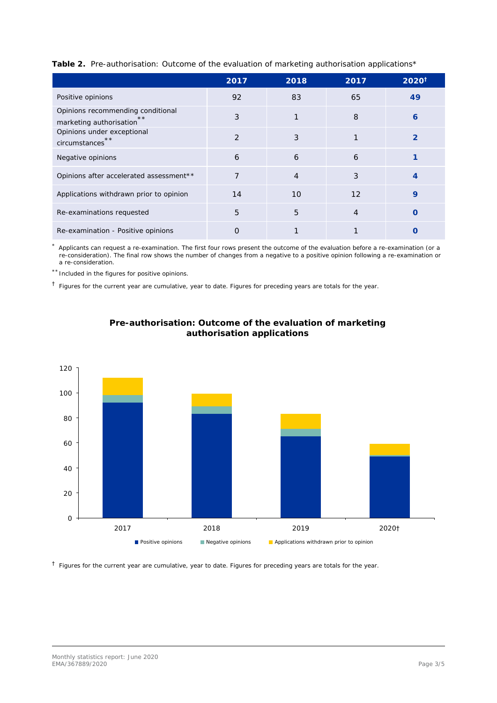| Table 2. Pre-authorisation: Outcome of the evaluation of marketing authorisation applications* |  |  |  |
|------------------------------------------------------------------------------------------------|--|--|--|
|                                                                                                |  |  |  |
|                                                                                                |  |  |  |

|                                                                    | 2017 | 2018           | 2017           | $2020^{\dagger}$ |
|--------------------------------------------------------------------|------|----------------|----------------|------------------|
| Positive opinions                                                  | 92   | 83             | 65             | 49               |
| Opinions recommending conditional<br>**<br>marketing authorisation | 3    | 1              | 8              | 6                |
| Opinions under exceptional<br>**<br>circumstances                  | 2    | 3              |                | $\overline{2}$   |
| Negative opinions                                                  | 6    | 6              | 6              |                  |
| Opinions after accelerated assessment**                            | 7    | $\overline{4}$ | 3              | $\overline{4}$   |
| Applications withdrawn prior to opinion                            | 14   | 10             | 12             | 9                |
| Re-examinations requested                                          | 5    | 5              | $\overline{4}$ | Ω                |
| Re-examination - Positive opinions                                 | 0    |                |                |                  |

Applicants can request a re-examination. The first four rows present the outcome of the evaluation before a re-examination (or a re-consideration). The final row shows the number of changes from a negative to a positive opinion following a re-examination or a re-consideration.

\*\* Included in the figures for positive opinions.

 $<sup>†</sup>$  Figures for the current year are cumulative, year to date. Figures for preceding years are totals for the year.</sup>





 $<sup>†</sup>$  Figures for the current year are cumulative, year to date. Figures for preceding years are totals for the year.</sup>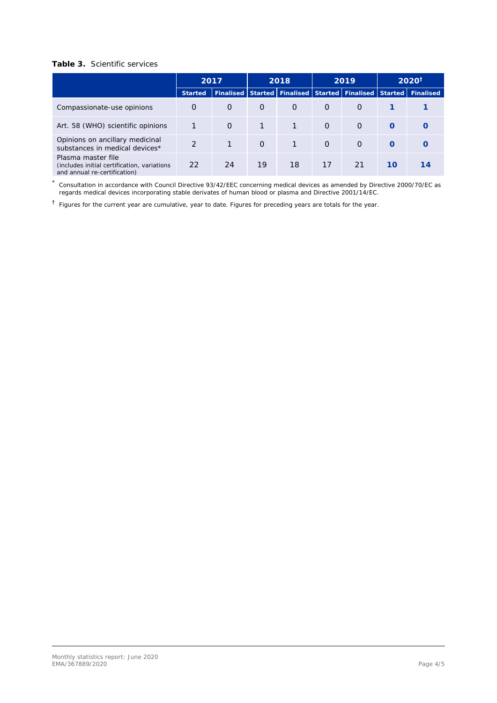## **Table 3.** Scientific services

|                                                                                                    | 2017          |                             | 2018     |          | 2019     |                     | $2020^{\dagger}$ |                   |  |
|----------------------------------------------------------------------------------------------------|---------------|-----------------------------|----------|----------|----------|---------------------|------------------|-------------------|--|
|                                                                                                    | Started       | Finalised Started Finalised |          |          |          | Started   Finalised |                  | Started Finalised |  |
| Compassionate-use opinions                                                                         | $\Omega$      | $\Omega$                    | $\Omega$ | $\Omega$ | $\Omega$ | $\Omega$            |                  |                   |  |
| Art. 58 (WHO) scientific opinions                                                                  |               | $\Omega$                    |          |          | $\Omega$ | $\Omega$            | $\Omega$         |                   |  |
| Opinions on ancillary medicinal<br>substances in medical devices*                                  | $\mathcal{D}$ |                             | $\Omega$ | 1        | $\Omega$ | $\Omega$            | $\Omega$         |                   |  |
| Plasma master file<br>(includes initial certification, variations)<br>and annual re-certification) | 22            | 24                          | 19       | 18       | 17       | 21                  | 10               | 14                |  |

\* Consultation in accordance with Council Directive 93/42/EEC concerning medical devices as amended by Directive 2000/70/EC as regards medical devices incorporating stable derivates of human blood or plasma and Directive 2001/14/EC.

† Figures for the current year are cumulative, year to date. Figures for preceding years are totals for the year.